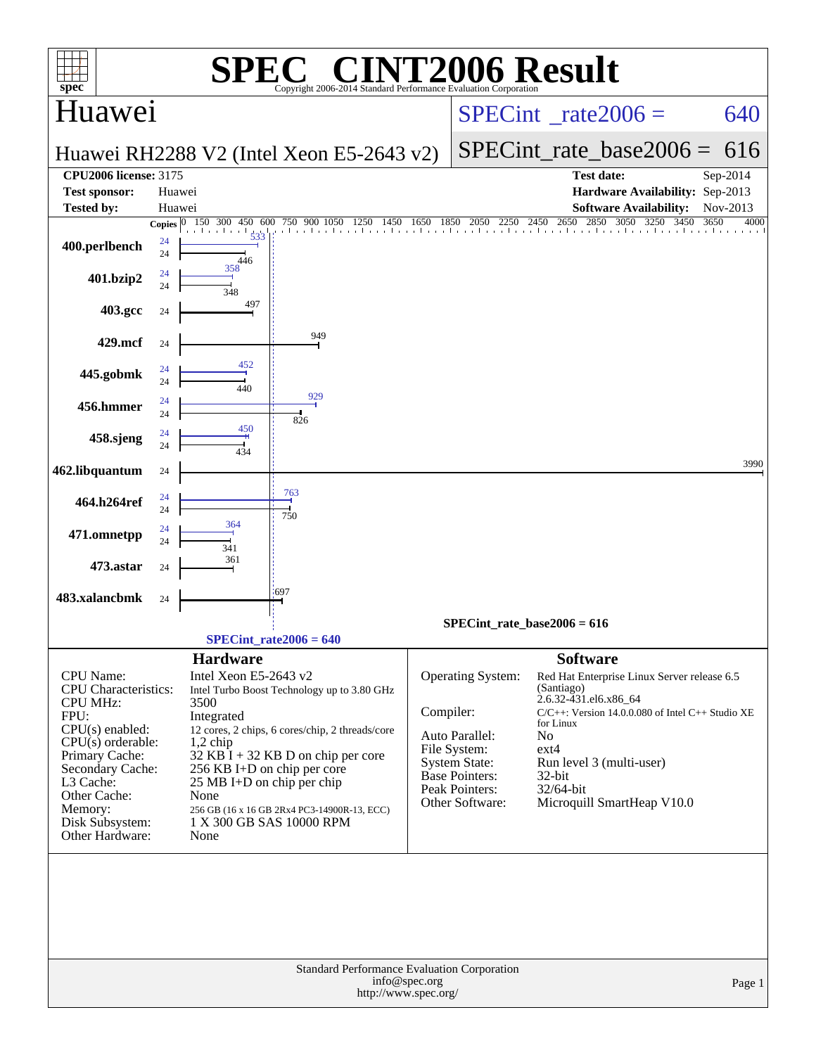| <b>INT2006 Result</b><br>$\lceil \begin{array}{cc} \n\sqrt{2} & \n\end{array} \rceil$<br>SPE)<br>$spec^*$<br>Copyright 2006-2014 Standard Performance Evaluation Cornoration                                                        |                        |                                                                                                                                                           |                                                                                                                                                                                                                   |               |                                                                                                                                           |                                                                                                                                                                                                                                                                           |                          |  |  |  |
|-------------------------------------------------------------------------------------------------------------------------------------------------------------------------------------------------------------------------------------|------------------------|-----------------------------------------------------------------------------------------------------------------------------------------------------------|-------------------------------------------------------------------------------------------------------------------------------------------------------------------------------------------------------------------|---------------|-------------------------------------------------------------------------------------------------------------------------------------------|---------------------------------------------------------------------------------------------------------------------------------------------------------------------------------------------------------------------------------------------------------------------------|--------------------------|--|--|--|
| Huawei                                                                                                                                                                                                                              |                        |                                                                                                                                                           |                                                                                                                                                                                                                   |               |                                                                                                                                           | $SPECint^{\circ}$ rate 2006 =                                                                                                                                                                                                                                             | 640                      |  |  |  |
|                                                                                                                                                                                                                                     |                        |                                                                                                                                                           | Huawei RH2288 V2 (Intel Xeon E5-2643 v2)                                                                                                                                                                          |               |                                                                                                                                           | $SPECint_rate_base2006 =$                                                                                                                                                                                                                                                 | 616                      |  |  |  |
| <b>CPU2006 license: 3175</b>                                                                                                                                                                                                        |                        |                                                                                                                                                           |                                                                                                                                                                                                                   |               |                                                                                                                                           | <b>Test date:</b>                                                                                                                                                                                                                                                         | Sep-2014                 |  |  |  |
| <b>Test sponsor:</b>                                                                                                                                                                                                                | Huawei                 |                                                                                                                                                           |                                                                                                                                                                                                                   |               |                                                                                                                                           | Hardware Availability: Sep-2013                                                                                                                                                                                                                                           |                          |  |  |  |
| <b>Tested by:</b>                                                                                                                                                                                                                   | Huawei<br>Copies $ 0 $ | 150 300<br>450<br>600                                                                                                                                     | 750 900 1050                                                                                                                                                                                                      |               |                                                                                                                                           | <b>Software Availability:</b><br>750 900 1050 1250 1450 1650 1850 2050 2250 2450 2650 2850 3050 3250 3450<br>3450                                                                                                                                                         | Nov-2013<br>3650<br>4000 |  |  |  |
| 400.perlbench                                                                                                                                                                                                                       | 24<br>24               | 533<br>446                                                                                                                                                |                                                                                                                                                                                                                   |               |                                                                                                                                           |                                                                                                                                                                                                                                                                           |                          |  |  |  |
| 401.bzip2                                                                                                                                                                                                                           | 24<br>24               | 358                                                                                                                                                       |                                                                                                                                                                                                                   |               |                                                                                                                                           |                                                                                                                                                                                                                                                                           |                          |  |  |  |
| 403.gcc                                                                                                                                                                                                                             | 24                     | 497                                                                                                                                                       |                                                                                                                                                                                                                   |               |                                                                                                                                           |                                                                                                                                                                                                                                                                           |                          |  |  |  |
| 429.mcf                                                                                                                                                                                                                             | 24                     |                                                                                                                                                           | 949                                                                                                                                                                                                               |               |                                                                                                                                           |                                                                                                                                                                                                                                                                           |                          |  |  |  |
| 445.gobmk                                                                                                                                                                                                                           | 24<br>24               | 452<br>440                                                                                                                                                | 929                                                                                                                                                                                                               |               |                                                                                                                                           |                                                                                                                                                                                                                                                                           |                          |  |  |  |
| 456.hmmer                                                                                                                                                                                                                           | 24<br>24               |                                                                                                                                                           | 826                                                                                                                                                                                                               |               |                                                                                                                                           |                                                                                                                                                                                                                                                                           |                          |  |  |  |
| 458.sjeng                                                                                                                                                                                                                           | 24<br>24               | 450<br>434                                                                                                                                                |                                                                                                                                                                                                                   |               |                                                                                                                                           |                                                                                                                                                                                                                                                                           |                          |  |  |  |
| 462.libquantum                                                                                                                                                                                                                      | 24                     |                                                                                                                                                           |                                                                                                                                                                                                                   |               |                                                                                                                                           |                                                                                                                                                                                                                                                                           | 3990                     |  |  |  |
| 464.h264ref                                                                                                                                                                                                                         | 24<br>24               |                                                                                                                                                           | 763<br>750                                                                                                                                                                                                        |               |                                                                                                                                           |                                                                                                                                                                                                                                                                           |                          |  |  |  |
| 471.omnetpp                                                                                                                                                                                                                         | 24<br>24               | 364<br>341                                                                                                                                                |                                                                                                                                                                                                                   |               |                                                                                                                                           |                                                                                                                                                                                                                                                                           |                          |  |  |  |
| 473.astar                                                                                                                                                                                                                           | 24                     | 361                                                                                                                                                       |                                                                                                                                                                                                                   |               |                                                                                                                                           |                                                                                                                                                                                                                                                                           |                          |  |  |  |
| 483.xalancbmk                                                                                                                                                                                                                       | 24                     |                                                                                                                                                           | 697                                                                                                                                                                                                               |               |                                                                                                                                           |                                                                                                                                                                                                                                                                           |                          |  |  |  |
|                                                                                                                                                                                                                                     |                        |                                                                                                                                                           | $SPECint_rate2006 = 640$                                                                                                                                                                                          |               |                                                                                                                                           | $SPECint_rate_base2006 = 616$                                                                                                                                                                                                                                             |                          |  |  |  |
| CPU Name:<br><b>CPU</b> Characteristics:<br><b>CPU MHz:</b><br>FPU:<br>$CPU(s)$ enabled:<br>$CPU(s)$ orderable:<br>Primary Cache:<br>Secondary Cache:<br>L3 Cache:<br>Other Cache:<br>Memory:<br>Disk Subsystem:<br>Other Hardware: |                        | <b>Hardware</b><br>Intel Xeon E5-2643 v2<br>3500<br>Integrated<br>$1,2$ chip<br>256 KB I+D on chip per core<br>25 MB I+D on chip per chip<br>None<br>None | Intel Turbo Boost Technology up to 3.80 GHz<br>12 cores, 2 chips, 6 cores/chip, 2 threads/core<br>$32$ KB I + 32 KB D on chip per core<br>256 GB (16 x 16 GB 2Rx4 PC3-14900R-13, ECC)<br>1 X 300 GB SAS 10000 RPM | Compiler:     | Operating System:<br>Auto Parallel:<br>File System:<br><b>System State:</b><br><b>Base Pointers:</b><br>Peak Pointers:<br>Other Software: | <b>Software</b><br>Red Hat Enterprise Linux Server release 6.5<br>(Santiago)<br>2.6.32-431.el6.x86_64<br>C/C++: Version 14.0.0.080 of Intel C++ Studio XE<br>for Linux<br>No<br>$ext{4}$<br>Run level 3 (multi-user)<br>32-bit<br>32/64-bit<br>Microquill SmartHeap V10.0 |                          |  |  |  |
|                                                                                                                                                                                                                                     |                        |                                                                                                                                                           | Standard Performance Evaluation Corporation<br>http://www.spec.org/                                                                                                                                               | info@spec.org |                                                                                                                                           |                                                                                                                                                                                                                                                                           | Page 1                   |  |  |  |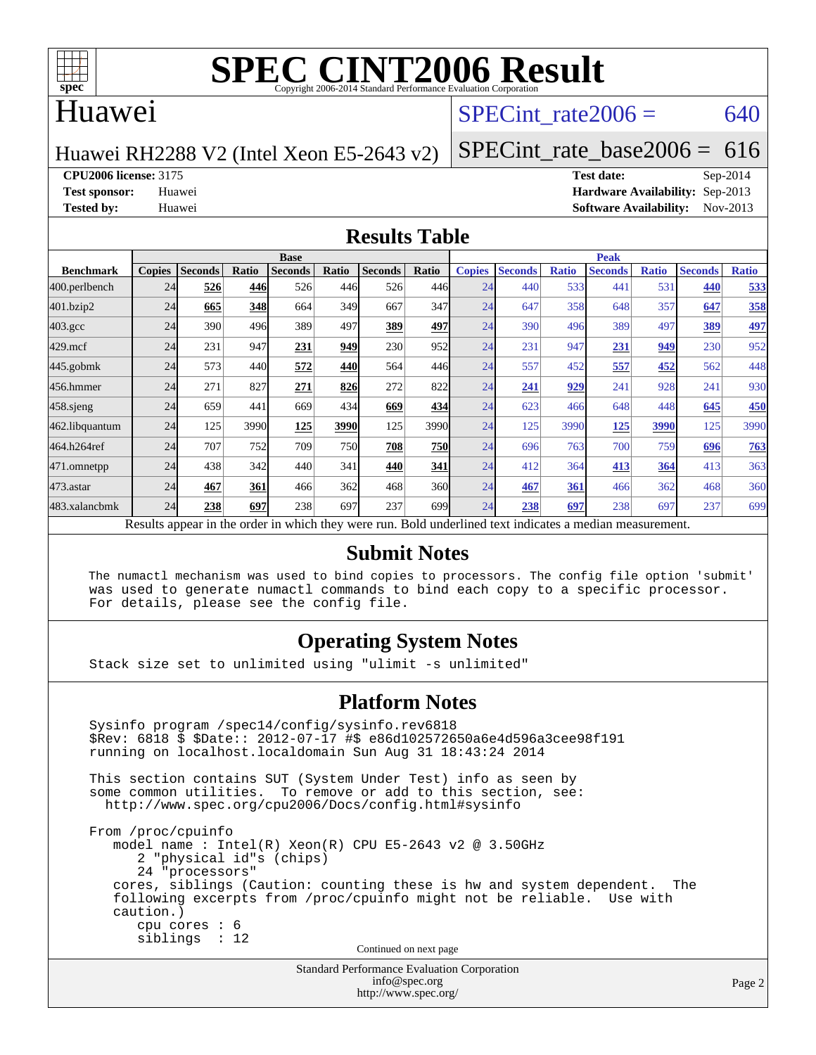

# **[SPEC CINT2006 Result](http://www.spec.org/auto/cpu2006/Docs/result-fields.html#SPECCINT2006Result)**

## Huawei

## SPECint rate $2006 = 640$

Huawei RH2288 V2 (Intel Xeon E5-2643 v2)

[SPECint\\_rate\\_base2006 =](http://www.spec.org/auto/cpu2006/Docs/result-fields.html#SPECintratebase2006) 616

**[CPU2006 license:](http://www.spec.org/auto/cpu2006/Docs/result-fields.html#CPU2006license)** 3175 **[Test date:](http://www.spec.org/auto/cpu2006/Docs/result-fields.html#Testdate)** Sep-2014

**[Test sponsor:](http://www.spec.org/auto/cpu2006/Docs/result-fields.html#Testsponsor)** Huawei **[Hardware Availability:](http://www.spec.org/auto/cpu2006/Docs/result-fields.html#HardwareAvailability)** Sep-2013 **[Tested by:](http://www.spec.org/auto/cpu2006/Docs/result-fields.html#Testedby)** Huawei **[Software Availability:](http://www.spec.org/auto/cpu2006/Docs/result-fields.html#SoftwareAvailability)** Nov-2013

#### **[Results Table](http://www.spec.org/auto/cpu2006/Docs/result-fields.html#ResultsTable)**

|                                                                                                          | <b>Base</b>   |                |       |                |       |                |                  | <b>Peak</b>   |                |              |                |              |                |              |
|----------------------------------------------------------------------------------------------------------|---------------|----------------|-------|----------------|-------|----------------|------------------|---------------|----------------|--------------|----------------|--------------|----------------|--------------|
| <b>Benchmark</b>                                                                                         | <b>Copies</b> | <b>Seconds</b> | Ratio | <b>Seconds</b> | Ratio | <b>Seconds</b> | Ratio            | <b>Copies</b> | <b>Seconds</b> | <b>Ratio</b> | <b>Seconds</b> | <b>Ratio</b> | <b>Seconds</b> | <b>Ratio</b> |
| 400.perlbench                                                                                            | 24            | 526            | 446   | 526            | 446   | 526            | 446              | 24            | 440            | 533          | 441            | 531          | 440            | 533          |
| 401.bzip2                                                                                                | 24            | 665            | 348   | 664            | 349   | 667            | 347I             | 24            | 647            | 358          | 648            | 357          | 647            | 358          |
| $403.\mathrm{gcc}$                                                                                       | 24            | 390            | 496   | 389            | 497   | 389            | 497              | 24            | 390            | 496          | 389            | 497          | 389            | 497          |
| $429$ .mcf                                                                                               | 24            | 231            | 947   | 231            | 949   | 230            | 952l             | 24            | 231            | 947          | 231            | 949          | 230            | 952          |
| $445$ .gobmk                                                                                             | 24            | 573            | 440   | 572            | 440   | 564            | 446              | 24            | 557            | 452          | 557            | 452          | 562            | 448          |
| 456.hmmer                                                                                                | 24            | 271            | 827   | 271            | 826   | 272            | 822l             | 24            | 241            | 929          | 241            | 928          | 241            | 930          |
| $458$ .sjeng                                                                                             | 24            | 659            | 441   | 669            | 434   | 669            | 434              | 24            | 623            | 466          | 648            | 448          | 645            | 450          |
| 462.libquantum                                                                                           | 24            | 125            | 3990  | 125            | 3990  | 125            | 3990             | 24            | 125            | 3990         | 125            | 3990         | 125            | 3990         |
| 464.h264ref                                                                                              | 24            | 707            | 752   | 709            | 750   | 708            | <b>750</b>       | 24            | 696            | 763          | 700            | 759          | 696            | 763          |
| 471.omnetpp                                                                                              | 24            | 438            | 342   | 440            | 341   | 440            | 341              | 24            | 412            | 364          | 413            | 364          | 413            | 363          |
| $473$ . astar                                                                                            | 24            | 467            | 361   | 466            | 362   | 468            | 360              | 24            | 467            | 361          | 466            | 362          | 468            | 360          |
| 483.xalancbmk                                                                                            | 24            | 238            | 697   | 238            | 697   | 237            | 699 <sub>l</sub> | 24            | 238            | 697          | 238            | 697          | 237            | 699          |
| Results appear in the order in which they were run. Bold underlined text indicates a median measurement. |               |                |       |                |       |                |                  |               |                |              |                |              |                |              |

#### **[Submit Notes](http://www.spec.org/auto/cpu2006/Docs/result-fields.html#SubmitNotes)**

 The numactl mechanism was used to bind copies to processors. The config file option 'submit' was used to generate numactl commands to bind each copy to a specific processor. For details, please see the config file.

### **[Operating System Notes](http://www.spec.org/auto/cpu2006/Docs/result-fields.html#OperatingSystemNotes)**

Stack size set to unlimited using "ulimit -s unlimited"

#### **[Platform Notes](http://www.spec.org/auto/cpu2006/Docs/result-fields.html#PlatformNotes)**

```
Standard Performance Evaluation Corporation
 Sysinfo program /spec14/config/sysinfo.rev6818
 $Rev: 6818 $ $Date:: 2012-07-17 #$ e86d102572650a6e4d596a3cee98f191
 running on localhost.localdomain Sun Aug 31 18:43:24 2014
 This section contains SUT (System Under Test) info as seen by
some common utilities. To remove or add to this section, see:
  http://www.spec.org/cpu2006/Docs/config.html#sysinfo
 From /proc/cpuinfo
    model name : Intel(R) Xeon(R) CPU E5-2643 v2 @ 3.50GHz
       2 "physical id"s (chips)
       24 "processors"
    cores, siblings (Caution: counting these is hw and system dependent. The
    following excerpts from /proc/cpuinfo might not be reliable. Use with
    caution.)
       cpu cores : 6
       siblings : 12
                                   Continued on next page
```
[info@spec.org](mailto:info@spec.org) <http://www.spec.org/>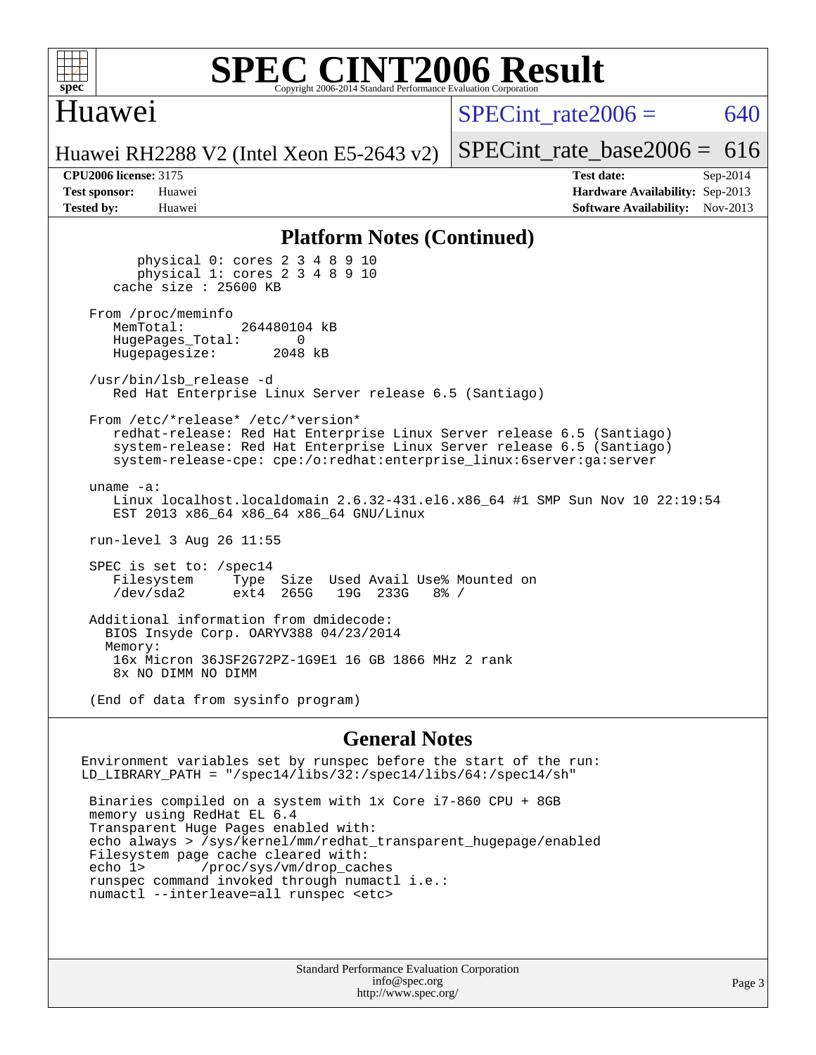

### **[SPEC CINT2006 Result](http://www.spec.org/auto/cpu2006/Docs/result-fields.html#SPECCINT2006Result)** Copyright 2006-2014 Standard Performance Evaluation C

## Huawei

 $SPECint rate2006 = 640$ 

Huawei RH2288 V2 (Intel Xeon E5-2643 v2)

**[Tested by:](http://www.spec.org/auto/cpu2006/Docs/result-fields.html#Testedby)** Huawei **[Software Availability:](http://www.spec.org/auto/cpu2006/Docs/result-fields.html#SoftwareAvailability)** Nov-2013

**[CPU2006 license:](http://www.spec.org/auto/cpu2006/Docs/result-fields.html#CPU2006license)** 3175 **[Test date:](http://www.spec.org/auto/cpu2006/Docs/result-fields.html#Testdate)** Sep-2014 **[Test sponsor:](http://www.spec.org/auto/cpu2006/Docs/result-fields.html#Testsponsor)** Huawei **[Hardware Availability:](http://www.spec.org/auto/cpu2006/Docs/result-fields.html#HardwareAvailability)** Sep-2013

[SPECint\\_rate\\_base2006 =](http://www.spec.org/auto/cpu2006/Docs/result-fields.html#SPECintratebase2006)  $616$ 

#### **[Platform Notes \(Continued\)](http://www.spec.org/auto/cpu2006/Docs/result-fields.html#PlatformNotes)**

 physical 0: cores 2 3 4 8 9 10 physical 1: cores 2 3 4 8 9 10 cache size : 25600 KB From /proc/meminfo<br>MemTotal: 264480104 kB HugePages\_Total: 0<br>Hugepagesize: 2048 kB Hugepagesize: /usr/bin/lsb\_release -d Red Hat Enterprise Linux Server release 6.5 (Santiago) From /etc/\*release\* /etc/\*version\* redhat-release: Red Hat Enterprise Linux Server release 6.5 (Santiago) system-release: Red Hat Enterprise Linux Server release 6.5 (Santiago) system-release-cpe: cpe:/o:redhat:enterprise\_linux:6server:ga:server uname -a: Linux localhost.localdomain 2.6.32-431.el6.x86\_64 #1 SMP Sun Nov 10 22:19:54 EST 2013 x86\_64 x86\_64 x86\_64 GNU/Linux run-level 3 Aug 26 11:55 SPEC is set to: /spec14 Filesystem Type Size Used Avail Use% Mounted on<br>
/dev/sda2 ext4 265G 19G 233G 8% / /dev/sda2 ext4 265G 19G 233G 8% / Additional information from dmidecode: BIOS Insyde Corp. OARYV388 04/23/2014 Memory: 16x Micron 36JSF2G72PZ-1G9E1 16 GB 1866 MHz 2 rank 8x NO DIMM NO DIMM (End of data from sysinfo program)

#### **[General Notes](http://www.spec.org/auto/cpu2006/Docs/result-fields.html#GeneralNotes)**

Environment variables set by runspec before the start of the run: LD\_LIBRARY\_PATH = "/spec14/libs/32:/spec14/libs/64:/spec14/sh"

 Binaries compiled on a system with 1x Core i7-860 CPU + 8GB memory using RedHat EL 6.4 Transparent Huge Pages enabled with: echo always > /sys/kernel/mm/redhat\_transparent\_hugepage/enabled Filesystem page cache cleared with: echo 1> /proc/sys/vm/drop\_caches runspec command invoked through numactl i.e.: numactl --interleave=all runspec <etc>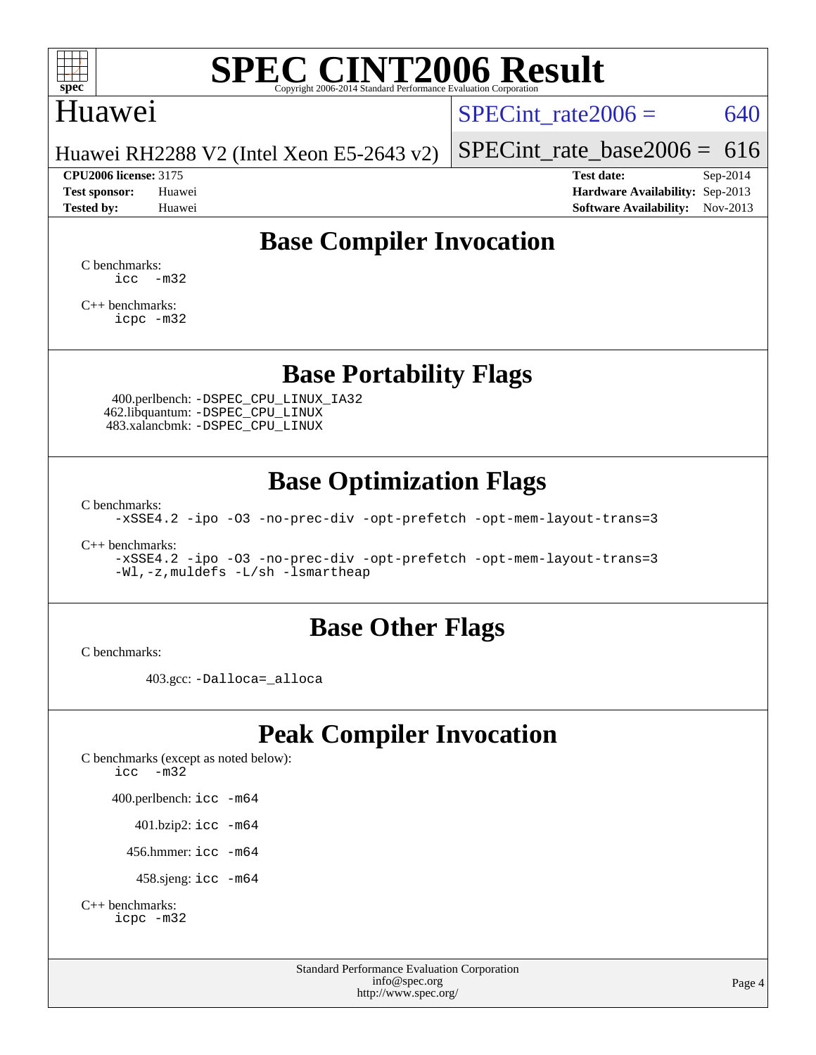

# **[SPEC CINT2006 Result](http://www.spec.org/auto/cpu2006/Docs/result-fields.html#SPECCINT2006Result)**

## Huawei

SPECint rate $2006 = 640$ 

Huawei RH2288 V2 (Intel Xeon E5-2643 v2)

[SPECint\\_rate\\_base2006 =](http://www.spec.org/auto/cpu2006/Docs/result-fields.html#SPECintratebase2006)  $616$ **[CPU2006 license:](http://www.spec.org/auto/cpu2006/Docs/result-fields.html#CPU2006license)** 3175 **[Test date:](http://www.spec.org/auto/cpu2006/Docs/result-fields.html#Testdate)** Sep-2014

**[Test sponsor:](http://www.spec.org/auto/cpu2006/Docs/result-fields.html#Testsponsor)** Huawei **[Hardware Availability:](http://www.spec.org/auto/cpu2006/Docs/result-fields.html#HardwareAvailability)** Sep-2013 **[Tested by:](http://www.spec.org/auto/cpu2006/Docs/result-fields.html#Testedby)** Huawei **[Software Availability:](http://www.spec.org/auto/cpu2006/Docs/result-fields.html#SoftwareAvailability)** Nov-2013

# **[Base Compiler Invocation](http://www.spec.org/auto/cpu2006/Docs/result-fields.html#BaseCompilerInvocation)**

[C benchmarks](http://www.spec.org/auto/cpu2006/Docs/result-fields.html#Cbenchmarks):  $\text{icc}$   $-\text{m32}$ 

[C++ benchmarks:](http://www.spec.org/auto/cpu2006/Docs/result-fields.html#CXXbenchmarks) [icpc -m32](http://www.spec.org/cpu2006/results/res2014q3/cpu2006-20140902-31151.flags.html#user_CXXbase_intel_icpc_4e5a5ef1a53fd332b3c49e69c3330699)

**[Base Portability Flags](http://www.spec.org/auto/cpu2006/Docs/result-fields.html#BasePortabilityFlags)**

 400.perlbench: [-DSPEC\\_CPU\\_LINUX\\_IA32](http://www.spec.org/cpu2006/results/res2014q3/cpu2006-20140902-31151.flags.html#b400.perlbench_baseCPORTABILITY_DSPEC_CPU_LINUX_IA32) 462.libquantum: [-DSPEC\\_CPU\\_LINUX](http://www.spec.org/cpu2006/results/res2014q3/cpu2006-20140902-31151.flags.html#b462.libquantum_baseCPORTABILITY_DSPEC_CPU_LINUX) 483.xalancbmk: [-DSPEC\\_CPU\\_LINUX](http://www.spec.org/cpu2006/results/res2014q3/cpu2006-20140902-31151.flags.html#b483.xalancbmk_baseCXXPORTABILITY_DSPEC_CPU_LINUX)

## **[Base Optimization Flags](http://www.spec.org/auto/cpu2006/Docs/result-fields.html#BaseOptimizationFlags)**

[C benchmarks](http://www.spec.org/auto/cpu2006/Docs/result-fields.html#Cbenchmarks):

[-xSSE4.2](http://www.spec.org/cpu2006/results/res2014q3/cpu2006-20140902-31151.flags.html#user_CCbase_f-xSSE42_f91528193cf0b216347adb8b939d4107) [-ipo](http://www.spec.org/cpu2006/results/res2014q3/cpu2006-20140902-31151.flags.html#user_CCbase_f-ipo) [-O3](http://www.spec.org/cpu2006/results/res2014q3/cpu2006-20140902-31151.flags.html#user_CCbase_f-O3) [-no-prec-div](http://www.spec.org/cpu2006/results/res2014q3/cpu2006-20140902-31151.flags.html#user_CCbase_f-no-prec-div) [-opt-prefetch](http://www.spec.org/cpu2006/results/res2014q3/cpu2006-20140902-31151.flags.html#user_CCbase_f-opt-prefetch) [-opt-mem-layout-trans=3](http://www.spec.org/cpu2006/results/res2014q3/cpu2006-20140902-31151.flags.html#user_CCbase_f-opt-mem-layout-trans_a7b82ad4bd7abf52556d4961a2ae94d5)

[C++ benchmarks:](http://www.spec.org/auto/cpu2006/Docs/result-fields.html#CXXbenchmarks)

[-xSSE4.2](http://www.spec.org/cpu2006/results/res2014q3/cpu2006-20140902-31151.flags.html#user_CXXbase_f-xSSE42_f91528193cf0b216347adb8b939d4107) [-ipo](http://www.spec.org/cpu2006/results/res2014q3/cpu2006-20140902-31151.flags.html#user_CXXbase_f-ipo) [-O3](http://www.spec.org/cpu2006/results/res2014q3/cpu2006-20140902-31151.flags.html#user_CXXbase_f-O3) [-no-prec-div](http://www.spec.org/cpu2006/results/res2014q3/cpu2006-20140902-31151.flags.html#user_CXXbase_f-no-prec-div) [-opt-prefetch](http://www.spec.org/cpu2006/results/res2014q3/cpu2006-20140902-31151.flags.html#user_CXXbase_f-opt-prefetch) [-opt-mem-layout-trans=3](http://www.spec.org/cpu2006/results/res2014q3/cpu2006-20140902-31151.flags.html#user_CXXbase_f-opt-mem-layout-trans_a7b82ad4bd7abf52556d4961a2ae94d5) [-Wl,-z,muldefs](http://www.spec.org/cpu2006/results/res2014q3/cpu2006-20140902-31151.flags.html#user_CXXbase_link_force_multiple1_74079c344b956b9658436fd1b6dd3a8a) [-L/sh -lsmartheap](http://www.spec.org/cpu2006/results/res2014q3/cpu2006-20140902-31151.flags.html#user_CXXbase_SmartHeap_32f6c82aa1ed9c52345d30cf6e4a0499)

## **[Base Other Flags](http://www.spec.org/auto/cpu2006/Docs/result-fields.html#BaseOtherFlags)**

[C benchmarks](http://www.spec.org/auto/cpu2006/Docs/result-fields.html#Cbenchmarks):

403.gcc: [-Dalloca=\\_alloca](http://www.spec.org/cpu2006/results/res2014q3/cpu2006-20140902-31151.flags.html#b403.gcc_baseEXTRA_CFLAGS_Dalloca_be3056838c12de2578596ca5467af7f3)

# **[Peak Compiler Invocation](http://www.spec.org/auto/cpu2006/Docs/result-fields.html#PeakCompilerInvocation)**

[C benchmarks \(except as noted below\)](http://www.spec.org/auto/cpu2006/Docs/result-fields.html#Cbenchmarksexceptasnotedbelow): [icc -m32](http://www.spec.org/cpu2006/results/res2014q3/cpu2006-20140902-31151.flags.html#user_CCpeak_intel_icc_5ff4a39e364c98233615fdd38438c6f2) 400.perlbench: [icc -m64](http://www.spec.org/cpu2006/results/res2014q3/cpu2006-20140902-31151.flags.html#user_peakCCLD400_perlbench_intel_icc_64bit_bda6cc9af1fdbb0edc3795bac97ada53) 401.bzip2: [icc -m64](http://www.spec.org/cpu2006/results/res2014q3/cpu2006-20140902-31151.flags.html#user_peakCCLD401_bzip2_intel_icc_64bit_bda6cc9af1fdbb0edc3795bac97ada53)

456.hmmer: [icc -m64](http://www.spec.org/cpu2006/results/res2014q3/cpu2006-20140902-31151.flags.html#user_peakCCLD456_hmmer_intel_icc_64bit_bda6cc9af1fdbb0edc3795bac97ada53)

458.sjeng: [icc -m64](http://www.spec.org/cpu2006/results/res2014q3/cpu2006-20140902-31151.flags.html#user_peakCCLD458_sjeng_intel_icc_64bit_bda6cc9af1fdbb0edc3795bac97ada53)

```
C++ benchmarks: 
    icpc -m32
```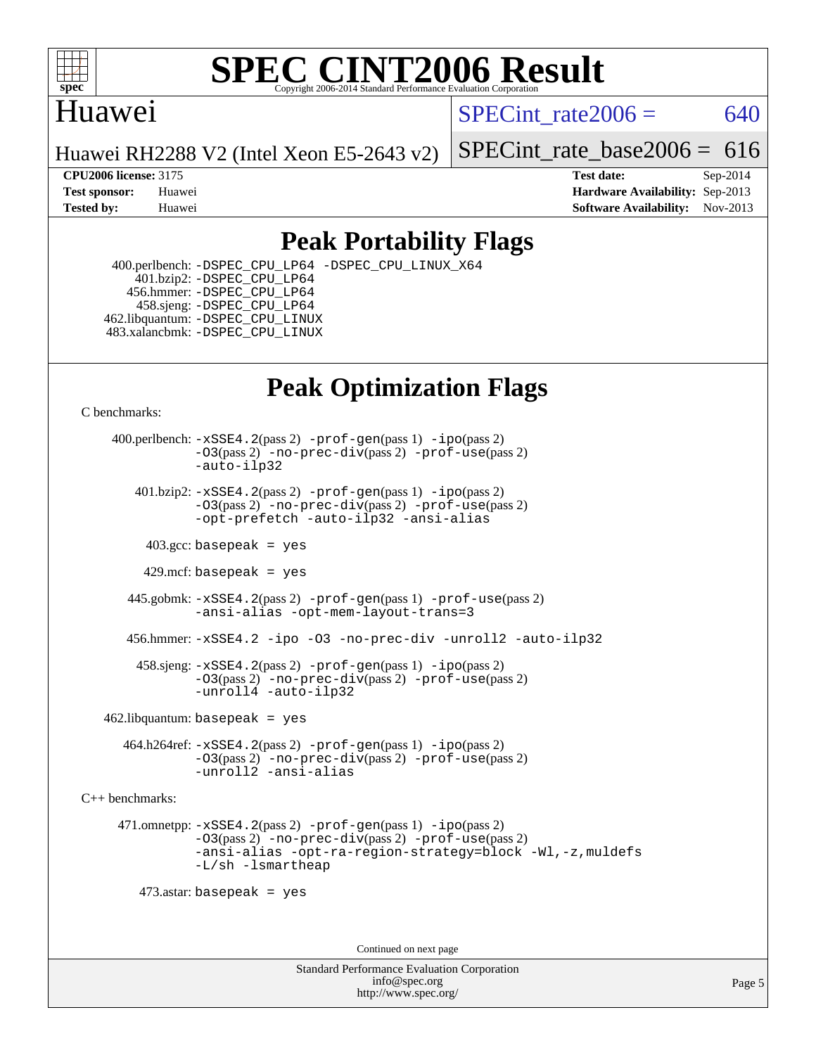

### **[SPEC CINT2006 Result](http://www.spec.org/auto/cpu2006/Docs/result-fields.html#SPECCINT2006Result)** Copyright 2006-2014 Standard Performance Evaluation C

## Huawei

SPECint rate $2006 = 640$ 

Huawei RH2288 V2 (Intel Xeon E5-2643 v2)

[SPECint\\_rate\\_base2006 =](http://www.spec.org/auto/cpu2006/Docs/result-fields.html#SPECintratebase2006)  $616$ 

**[CPU2006 license:](http://www.spec.org/auto/cpu2006/Docs/result-fields.html#CPU2006license)** 3175 **[Test date:](http://www.spec.org/auto/cpu2006/Docs/result-fields.html#Testdate)** Sep-2014 **[Test sponsor:](http://www.spec.org/auto/cpu2006/Docs/result-fields.html#Testsponsor)** Huawei **[Hardware Availability:](http://www.spec.org/auto/cpu2006/Docs/result-fields.html#HardwareAvailability)** Sep-2013 **[Tested by:](http://www.spec.org/auto/cpu2006/Docs/result-fields.html#Testedby)** Huawei **[Software Availability:](http://www.spec.org/auto/cpu2006/Docs/result-fields.html#SoftwareAvailability)** Nov-2013

# **[Peak Portability Flags](http://www.spec.org/auto/cpu2006/Docs/result-fields.html#PeakPortabilityFlags)**

 400.perlbench: [-DSPEC\\_CPU\\_LP64](http://www.spec.org/cpu2006/results/res2014q3/cpu2006-20140902-31151.flags.html#b400.perlbench_peakCPORTABILITY_DSPEC_CPU_LP64) [-DSPEC\\_CPU\\_LINUX\\_X64](http://www.spec.org/cpu2006/results/res2014q3/cpu2006-20140902-31151.flags.html#b400.perlbench_peakCPORTABILITY_DSPEC_CPU_LINUX_X64) 401.bzip2: [-DSPEC\\_CPU\\_LP64](http://www.spec.org/cpu2006/results/res2014q3/cpu2006-20140902-31151.flags.html#suite_peakCPORTABILITY401_bzip2_DSPEC_CPU_LP64) 456.hmmer: [-DSPEC\\_CPU\\_LP64](http://www.spec.org/cpu2006/results/res2014q3/cpu2006-20140902-31151.flags.html#suite_peakCPORTABILITY456_hmmer_DSPEC_CPU_LP64) 458.sjeng: [-DSPEC\\_CPU\\_LP64](http://www.spec.org/cpu2006/results/res2014q3/cpu2006-20140902-31151.flags.html#suite_peakCPORTABILITY458_sjeng_DSPEC_CPU_LP64) 462.libquantum: [-DSPEC\\_CPU\\_LINUX](http://www.spec.org/cpu2006/results/res2014q3/cpu2006-20140902-31151.flags.html#b462.libquantum_peakCPORTABILITY_DSPEC_CPU_LINUX) 483.xalancbmk: [-DSPEC\\_CPU\\_LINUX](http://www.spec.org/cpu2006/results/res2014q3/cpu2006-20140902-31151.flags.html#b483.xalancbmk_peakCXXPORTABILITY_DSPEC_CPU_LINUX)

# **[Peak Optimization Flags](http://www.spec.org/auto/cpu2006/Docs/result-fields.html#PeakOptimizationFlags)**

[C benchmarks](http://www.spec.org/auto/cpu2006/Docs/result-fields.html#Cbenchmarks):

 400.perlbench: [-xSSE4.2](http://www.spec.org/cpu2006/results/res2014q3/cpu2006-20140902-31151.flags.html#user_peakPASS2_CFLAGSPASS2_LDCFLAGS400_perlbench_f-xSSE42_f91528193cf0b216347adb8b939d4107)(pass 2) [-prof-gen](http://www.spec.org/cpu2006/results/res2014q3/cpu2006-20140902-31151.flags.html#user_peakPASS1_CFLAGSPASS1_LDCFLAGS400_perlbench_prof_gen_e43856698f6ca7b7e442dfd80e94a8fc)(pass 1) [-ipo](http://www.spec.org/cpu2006/results/res2014q3/cpu2006-20140902-31151.flags.html#user_peakPASS2_CFLAGSPASS2_LDCFLAGS400_perlbench_f-ipo)(pass 2) [-O3](http://www.spec.org/cpu2006/results/res2014q3/cpu2006-20140902-31151.flags.html#user_peakPASS2_CFLAGSPASS2_LDCFLAGS400_perlbench_f-O3)(pass 2) [-no-prec-div](http://www.spec.org/cpu2006/results/res2014q3/cpu2006-20140902-31151.flags.html#user_peakPASS2_CFLAGSPASS2_LDCFLAGS400_perlbench_f-no-prec-div)(pass 2) [-prof-use](http://www.spec.org/cpu2006/results/res2014q3/cpu2006-20140902-31151.flags.html#user_peakPASS2_CFLAGSPASS2_LDCFLAGS400_perlbench_prof_use_bccf7792157ff70d64e32fe3e1250b55)(pass 2) [-auto-ilp32](http://www.spec.org/cpu2006/results/res2014q3/cpu2006-20140902-31151.flags.html#user_peakCOPTIMIZE400_perlbench_f-auto-ilp32)  $401.bzip2: -xSSE4.2(pass 2) -prof-qen(pass 1) -ipo(pass 2)$  $401.bzip2: -xSSE4.2(pass 2) -prof-qen(pass 1) -ipo(pass 2)$  $401.bzip2: -xSSE4.2(pass 2) -prof-qen(pass 1) -ipo(pass 2)$  $401.bzip2: -xSSE4.2(pass 2) -prof-qen(pass 1) -ipo(pass 2)$  $401.bzip2: -xSSE4.2(pass 2) -prof-qen(pass 1) -ipo(pass 2)$ [-O3](http://www.spec.org/cpu2006/results/res2014q3/cpu2006-20140902-31151.flags.html#user_peakPASS2_CFLAGSPASS2_LDCFLAGS401_bzip2_f-O3)(pass 2) [-no-prec-div](http://www.spec.org/cpu2006/results/res2014q3/cpu2006-20140902-31151.flags.html#user_peakPASS2_CFLAGSPASS2_LDCFLAGS401_bzip2_f-no-prec-div)(pass 2) [-prof-use](http://www.spec.org/cpu2006/results/res2014q3/cpu2006-20140902-31151.flags.html#user_peakPASS2_CFLAGSPASS2_LDCFLAGS401_bzip2_prof_use_bccf7792157ff70d64e32fe3e1250b55)(pass 2) [-opt-prefetch](http://www.spec.org/cpu2006/results/res2014q3/cpu2006-20140902-31151.flags.html#user_peakCOPTIMIZE401_bzip2_f-opt-prefetch) [-auto-ilp32](http://www.spec.org/cpu2006/results/res2014q3/cpu2006-20140902-31151.flags.html#user_peakCOPTIMIZE401_bzip2_f-auto-ilp32) [-ansi-alias](http://www.spec.org/cpu2006/results/res2014q3/cpu2006-20140902-31151.flags.html#user_peakCOPTIMIZE401_bzip2_f-ansi-alias)  $403.\text{sec: basepeak}$  = yes 429.mcf: basepeak = yes 445.gobmk: [-xSSE4.2](http://www.spec.org/cpu2006/results/res2014q3/cpu2006-20140902-31151.flags.html#user_peakPASS2_CFLAGSPASS2_LDCFLAGS445_gobmk_f-xSSE42_f91528193cf0b216347adb8b939d4107)(pass 2) [-prof-gen](http://www.spec.org/cpu2006/results/res2014q3/cpu2006-20140902-31151.flags.html#user_peakPASS1_CFLAGSPASS1_LDCFLAGS445_gobmk_prof_gen_e43856698f6ca7b7e442dfd80e94a8fc)(pass 1) [-prof-use](http://www.spec.org/cpu2006/results/res2014q3/cpu2006-20140902-31151.flags.html#user_peakPASS2_CFLAGSPASS2_LDCFLAGS445_gobmk_prof_use_bccf7792157ff70d64e32fe3e1250b55)(pass 2) [-ansi-alias](http://www.spec.org/cpu2006/results/res2014q3/cpu2006-20140902-31151.flags.html#user_peakCOPTIMIZE445_gobmk_f-ansi-alias) [-opt-mem-layout-trans=3](http://www.spec.org/cpu2006/results/res2014q3/cpu2006-20140902-31151.flags.html#user_peakCOPTIMIZE445_gobmk_f-opt-mem-layout-trans_a7b82ad4bd7abf52556d4961a2ae94d5) 456.hmmer: [-xSSE4.2](http://www.spec.org/cpu2006/results/res2014q3/cpu2006-20140902-31151.flags.html#user_peakCOPTIMIZE456_hmmer_f-xSSE42_f91528193cf0b216347adb8b939d4107) [-ipo](http://www.spec.org/cpu2006/results/res2014q3/cpu2006-20140902-31151.flags.html#user_peakCOPTIMIZE456_hmmer_f-ipo) [-O3](http://www.spec.org/cpu2006/results/res2014q3/cpu2006-20140902-31151.flags.html#user_peakCOPTIMIZE456_hmmer_f-O3) [-no-prec-div](http://www.spec.org/cpu2006/results/res2014q3/cpu2006-20140902-31151.flags.html#user_peakCOPTIMIZE456_hmmer_f-no-prec-div) [-unroll2](http://www.spec.org/cpu2006/results/res2014q3/cpu2006-20140902-31151.flags.html#user_peakCOPTIMIZE456_hmmer_f-unroll_784dae83bebfb236979b41d2422d7ec2) [-auto-ilp32](http://www.spec.org/cpu2006/results/res2014q3/cpu2006-20140902-31151.flags.html#user_peakCOPTIMIZE456_hmmer_f-auto-ilp32) 458.sjeng: [-xSSE4.2](http://www.spec.org/cpu2006/results/res2014q3/cpu2006-20140902-31151.flags.html#user_peakPASS2_CFLAGSPASS2_LDCFLAGS458_sjeng_f-xSSE42_f91528193cf0b216347adb8b939d4107)(pass 2) [-prof-gen](http://www.spec.org/cpu2006/results/res2014q3/cpu2006-20140902-31151.flags.html#user_peakPASS1_CFLAGSPASS1_LDCFLAGS458_sjeng_prof_gen_e43856698f6ca7b7e442dfd80e94a8fc)(pass 1) [-ipo](http://www.spec.org/cpu2006/results/res2014q3/cpu2006-20140902-31151.flags.html#user_peakPASS2_CFLAGSPASS2_LDCFLAGS458_sjeng_f-ipo)(pass 2) [-O3](http://www.spec.org/cpu2006/results/res2014q3/cpu2006-20140902-31151.flags.html#user_peakPASS2_CFLAGSPASS2_LDCFLAGS458_sjeng_f-O3)(pass 2) [-no-prec-div](http://www.spec.org/cpu2006/results/res2014q3/cpu2006-20140902-31151.flags.html#user_peakPASS2_CFLAGSPASS2_LDCFLAGS458_sjeng_f-no-prec-div)(pass 2) [-prof-use](http://www.spec.org/cpu2006/results/res2014q3/cpu2006-20140902-31151.flags.html#user_peakPASS2_CFLAGSPASS2_LDCFLAGS458_sjeng_prof_use_bccf7792157ff70d64e32fe3e1250b55)(pass 2) [-unroll4](http://www.spec.org/cpu2006/results/res2014q3/cpu2006-20140902-31151.flags.html#user_peakCOPTIMIZE458_sjeng_f-unroll_4e5e4ed65b7fd20bdcd365bec371b81f) [-auto-ilp32](http://www.spec.org/cpu2006/results/res2014q3/cpu2006-20140902-31151.flags.html#user_peakCOPTIMIZE458_sjeng_f-auto-ilp32)  $462$ .libquantum: basepeak = yes 464.h264ref: [-xSSE4.2](http://www.spec.org/cpu2006/results/res2014q3/cpu2006-20140902-31151.flags.html#user_peakPASS2_CFLAGSPASS2_LDCFLAGS464_h264ref_f-xSSE42_f91528193cf0b216347adb8b939d4107)(pass 2) [-prof-gen](http://www.spec.org/cpu2006/results/res2014q3/cpu2006-20140902-31151.flags.html#user_peakPASS1_CFLAGSPASS1_LDCFLAGS464_h264ref_prof_gen_e43856698f6ca7b7e442dfd80e94a8fc)(pass 1) [-ipo](http://www.spec.org/cpu2006/results/res2014q3/cpu2006-20140902-31151.flags.html#user_peakPASS2_CFLAGSPASS2_LDCFLAGS464_h264ref_f-ipo)(pass 2) [-O3](http://www.spec.org/cpu2006/results/res2014q3/cpu2006-20140902-31151.flags.html#user_peakPASS2_CFLAGSPASS2_LDCFLAGS464_h264ref_f-O3)(pass 2) [-no-prec-div](http://www.spec.org/cpu2006/results/res2014q3/cpu2006-20140902-31151.flags.html#user_peakPASS2_CFLAGSPASS2_LDCFLAGS464_h264ref_f-no-prec-div)(pass 2) [-prof-use](http://www.spec.org/cpu2006/results/res2014q3/cpu2006-20140902-31151.flags.html#user_peakPASS2_CFLAGSPASS2_LDCFLAGS464_h264ref_prof_use_bccf7792157ff70d64e32fe3e1250b55)(pass 2) [-unroll2](http://www.spec.org/cpu2006/results/res2014q3/cpu2006-20140902-31151.flags.html#user_peakCOPTIMIZE464_h264ref_f-unroll_784dae83bebfb236979b41d2422d7ec2) [-ansi-alias](http://www.spec.org/cpu2006/results/res2014q3/cpu2006-20140902-31151.flags.html#user_peakCOPTIMIZE464_h264ref_f-ansi-alias) [C++ benchmarks:](http://www.spec.org/auto/cpu2006/Docs/result-fields.html#CXXbenchmarks)

 471.omnetpp: [-xSSE4.2](http://www.spec.org/cpu2006/results/res2014q3/cpu2006-20140902-31151.flags.html#user_peakPASS2_CXXFLAGSPASS2_LDCXXFLAGS471_omnetpp_f-xSSE42_f91528193cf0b216347adb8b939d4107)(pass 2) [-prof-gen](http://www.spec.org/cpu2006/results/res2014q3/cpu2006-20140902-31151.flags.html#user_peakPASS1_CXXFLAGSPASS1_LDCXXFLAGS471_omnetpp_prof_gen_e43856698f6ca7b7e442dfd80e94a8fc)(pass 1) [-ipo](http://www.spec.org/cpu2006/results/res2014q3/cpu2006-20140902-31151.flags.html#user_peakPASS2_CXXFLAGSPASS2_LDCXXFLAGS471_omnetpp_f-ipo)(pass 2) [-O3](http://www.spec.org/cpu2006/results/res2014q3/cpu2006-20140902-31151.flags.html#user_peakPASS2_CXXFLAGSPASS2_LDCXXFLAGS471_omnetpp_f-O3)(pass 2) [-no-prec-div](http://www.spec.org/cpu2006/results/res2014q3/cpu2006-20140902-31151.flags.html#user_peakPASS2_CXXFLAGSPASS2_LDCXXFLAGS471_omnetpp_f-no-prec-div)(pass 2) [-prof-use](http://www.spec.org/cpu2006/results/res2014q3/cpu2006-20140902-31151.flags.html#user_peakPASS2_CXXFLAGSPASS2_LDCXXFLAGS471_omnetpp_prof_use_bccf7792157ff70d64e32fe3e1250b55)(pass 2) [-ansi-alias](http://www.spec.org/cpu2006/results/res2014q3/cpu2006-20140902-31151.flags.html#user_peakCXXOPTIMIZE471_omnetpp_f-ansi-alias) [-opt-ra-region-strategy=block](http://www.spec.org/cpu2006/results/res2014q3/cpu2006-20140902-31151.flags.html#user_peakCXXOPTIMIZE471_omnetpp_f-opt-ra-region-strategy_a0a37c372d03933b2a18d4af463c1f69) [-Wl,-z,muldefs](http://www.spec.org/cpu2006/results/res2014q3/cpu2006-20140902-31151.flags.html#user_peakEXTRA_LDFLAGS471_omnetpp_link_force_multiple1_74079c344b956b9658436fd1b6dd3a8a) [-L/sh -lsmartheap](http://www.spec.org/cpu2006/results/res2014q3/cpu2006-20140902-31151.flags.html#user_peakEXTRA_LIBS471_omnetpp_SmartHeap_32f6c82aa1ed9c52345d30cf6e4a0499)

473.astar: basepeak = yes

Continued on next page